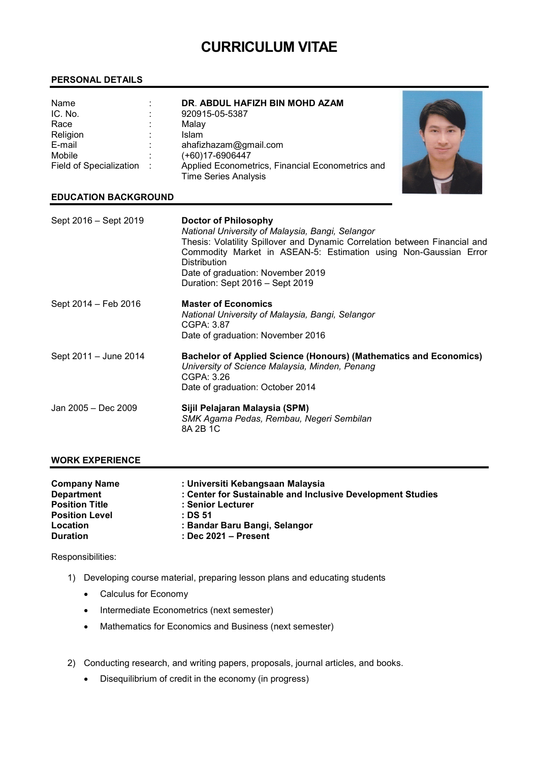# CURRICULUM VITAE

## PERSONAL DETAILS

| Name                      | ٠ | DR. ABDUL HAFIZH BIN MOHD AZAM                   |  |
|---------------------------|---|--------------------------------------------------|--|
| IC. No.                   |   | 920915-05-5387                                   |  |
| Race                      |   | Malay                                            |  |
| Religion                  |   | <b>Islam</b>                                     |  |
| E-mail                    |   | ahafizhazam@gmail.com                            |  |
| Mobile                    |   | (+60)17-6906447                                  |  |
| Field of Specialization : |   | Applied Econometrics, Financial Econometrics and |  |
|                           |   | <b>Time Series Analysis</b>                      |  |

## EDUCATION BACKGROUND

| Sept 2016 - Sept 2019 | Doctor of Philosophy<br>National University of Malaysia, Bangi, Selangor<br>Thesis: Volatility Spillover and Dynamic Correlation between Financial and<br>Commodity Market in ASEAN-5: Estimation using Non-Gaussian Error<br><b>Distribution</b><br>Date of graduation: November 2019<br>Duration: Sept 2016 - Sept 2019 |
|-----------------------|---------------------------------------------------------------------------------------------------------------------------------------------------------------------------------------------------------------------------------------------------------------------------------------------------------------------------|
| Sept 2014 - Feb 2016  | <b>Master of Economics</b><br>National University of Malaysia, Bangi, Selangor<br>CGPA: 3.87<br>Date of graduation: November 2016                                                                                                                                                                                         |
| Sept 2011 - June 2014 | <b>Bachelor of Applied Science (Honours) (Mathematics and Economics)</b><br>University of Science Malaysia, Minden, Penang<br>CGPA: 3.26<br>Date of graduation: October 2014                                                                                                                                              |
| Jan 2005 - Dec 2009   | Sijil Pelajaran Malaysia (SPM)<br>SMK Agama Pedas, Rembau, Negeri Sembilan<br>8A 2B 1C                                                                                                                                                                                                                                    |

#### WORK EXPERIENCE

| <b>Company Name</b>   | : Universiti Kebangsaan Malaysia                           |
|-----------------------|------------------------------------------------------------|
| <b>Department</b>     | : Center for Sustainable and Inclusive Development Studies |
| <b>Position Title</b> | : Senior Lecturer                                          |
| <b>Position Level</b> | : DS 51                                                    |
| Location              | : Bandar Baru Bangi, Selangor                              |
| <b>Duration</b>       | $:$ Dec 2021 – Present                                     |

Responsibilities:

- 1) Developing course material, preparing lesson plans and educating students
	- Calculus for Economy
	- Intermediate Econometrics (next semester)
	- Mathematics for Economics and Business (next semester)
- 2) Conducting research, and writing papers, proposals, journal articles, and books.
	- Disequilibrium of credit in the economy (in progress)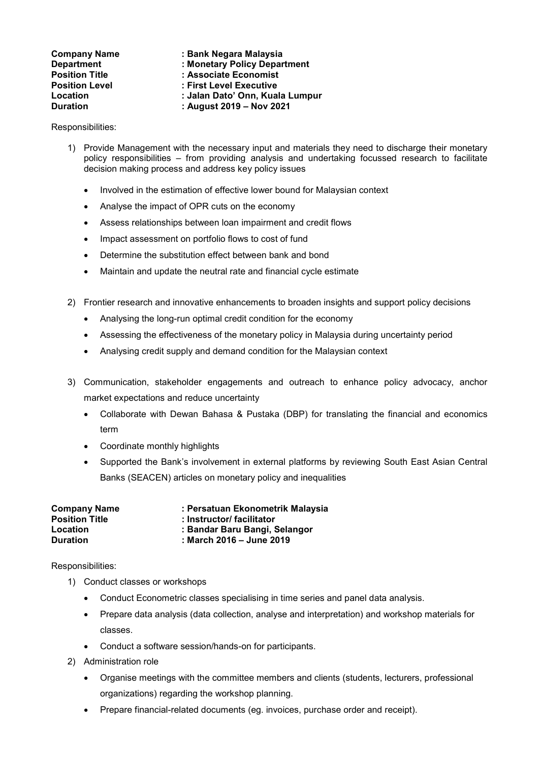| <b>Company Name</b>   | : Bank Negara Malaysia          |
|-----------------------|---------------------------------|
| <b>Department</b>     | : Monetary Policy Department    |
| <b>Position Title</b> | : Associate Economist           |
| <b>Position Level</b> | : First Level Executive         |
| Location              | : Jalan Dato' Onn, Kuala Lumpur |
| <b>Duration</b>       | : August 2019 - Nov 2021        |

Responsibilities:

- 1) Provide Management with the necessary input and materials they need to discharge their monetary policy responsibilities – from providing analysis and undertaking focussed research to facilitate decision making process and address key policy issues
	- Involved in the estimation of effective lower bound for Malaysian context
	- Analyse the impact of OPR cuts on the economy
	- Assess relationships between loan impairment and credit flows
	- Impact assessment on portfolio flows to cost of fund
	- Determine the substitution effect between bank and bond
	- Maintain and update the neutral rate and financial cycle estimate
- 2) Frontier research and innovative enhancements to broaden insights and support policy decisions
	- Analysing the long-run optimal credit condition for the economy
	- Assessing the effectiveness of the monetary policy in Malaysia during uncertainty period
	- Analysing credit supply and demand condition for the Malaysian context
- 3) Communication, stakeholder engagements and outreach to enhance policy advocacy, anchor market expectations and reduce uncertainty
	- Collaborate with Dewan Bahasa & Pustaka (DBP) for translating the financial and economics term
	- Coordinate monthly highlights
	- Supported the Bank's involvement in external platforms by reviewing South East Asian Central Banks (SEACEN) articles on monetary policy and inequalities

| <b>Company Name</b>   | : Persatuan Ekonometrik Malaysia |
|-----------------------|----------------------------------|
| <b>Position Title</b> | : Instructor/ facilitator        |
| Location              | : Bandar Baru Bangi, Selangor    |
| <b>Duration</b>       | : March 2016 – June 2019         |

Responsibilities:

- 1) Conduct classes or workshops
	- Conduct Econometric classes specialising in time series and panel data analysis.
	- Prepare data analysis (data collection, analyse and interpretation) and workshop materials for classes.
	- Conduct a software session/hands-on for participants.
- 2) Administration role
	- Organise meetings with the committee members and clients (students, lecturers, professional organizations) regarding the workshop planning.
	- Prepare financial-related documents (eg. invoices, purchase order and receipt).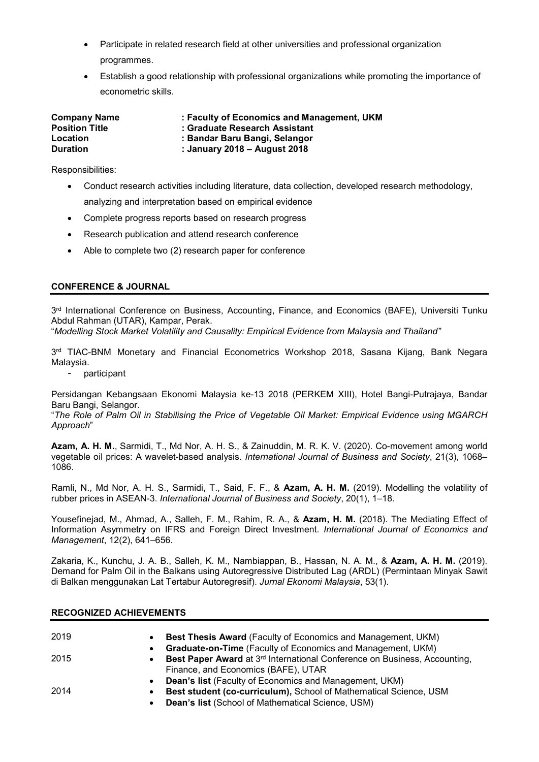- Participate in related research field at other universities and professional organization programmes.
- Establish a good relationship with professional organizations while promoting the importance of econometric skills.

| <b>Company Name</b>   | : Faculty of Economics and Management, UKM |
|-----------------------|--------------------------------------------|
| <b>Position Title</b> | : Graduate Research Assistant              |
| Location              | : Bandar Baru Bangi, Selangor              |
| <b>Duration</b>       | : January 2018 - August 2018               |

Responsibilities:

- Conduct research activities including literature, data collection, developed research methodology, analyzing and interpretation based on empirical evidence
- Complete progress reports based on research progress
- Research publication and attend research conference
- Able to complete two (2) research paper for conference

# CONFERENCE & JOURNAL

3<sup>rd</sup> International Conference on Business, Accounting, Finance, and Economics (BAFE), Universiti Tunku Abdul Rahman (UTAR), Kampar, Perak.

"Modelling Stock Market Volatility and Causality: Empirical Evidence from Malaysia and Thailand"

3 rd TIAC-BNM Monetary and Financial Econometrics Workshop 2018, Sasana Kijang, Bank Negara Malaysia.

- participant

Persidangan Kebangsaan Ekonomi Malaysia ke-13 2018 (PERKEM XIII), Hotel Bangi-Putrajaya, Bandar Baru Bangi, Selangor.

"The Role of Palm Oil in Stabilising the Price of Vegetable Oil Market: Empirical Evidence using MGARCH Approach"

Azam, A. H. M., Sarmidi, T., Md Nor, A. H. S., & Zainuddin, M. R. K. V. (2020). Co-movement among world vegetable oil prices: A wavelet-based analysis. International Journal of Business and Society, 21(3), 1068– 1086.

Ramli, N., Md Nor, A. H. S., Sarmidi, T., Said, F. F., & Azam, A. H. M. (2019). Modelling the volatility of rubber prices in ASEAN-3. International Journal of Business and Society, 20(1), 1–18.

Yousefinejad, M., Ahmad, A., Salleh, F. M., Rahim, R. A., & Azam, H. M. (2018). The Mediating Effect of Information Asymmetry on IFRS and Foreign Direct Investment. International Journal of Economics and Management, 12(2), 641–656.

Zakaria, K., Kunchu, J. A. B., Salleh, K. M., Nambiappan, B., Hassan, N. A. M., & Azam, A. H. M. (2019). Demand for Palm Oil in the Balkans using Autoregressive Distributed Lag (ARDL) (Permintaan Minyak Sawit di Balkan menggunakan Lat Tertabur Autoregresif). Jurnal Ekonomi Malaysia, 53(1).

#### RECOGNIZED ACHIEVEMENTS

| 2019 | <b>Best Thesis Award</b> (Faculty of Economics and Management, UKM)<br>$\bullet$                   |
|------|----------------------------------------------------------------------------------------------------|
|      | <b>Graduate-on-Time</b> (Faculty of Economics and Management, UKM)<br>$\bullet$                    |
| 2015 | Best Paper Award at 3 <sup>rd</sup> International Conference on Business, Accounting,<br>$\bullet$ |
|      | Finance, and Economics (BAFE), UTAR                                                                |
|      | <b>Dean's list (Faculty of Economics and Management, UKM)</b><br>$\bullet$                         |
| 2014 | Best student (co-curriculum), School of Mathematical Science, USM<br>$\bullet$                     |
|      | <b>Dean's list (School of Mathematical Science, USM)</b><br>$\bullet$                              |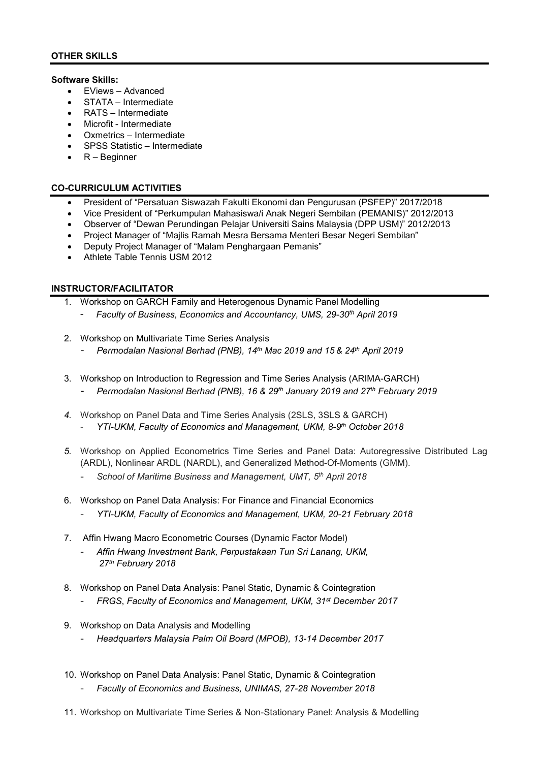## Software Skills:

- EViews Advanced
- STATA Intermediate
- RATS Intermediate
- Microfit Intermediate
- Oxmetrics Intermediate
- SPSS Statistic Intermediate
- $\bullet$  R Beginner

## CO-CURRICULUM ACTIVITIES

- President of "Persatuan Siswazah Fakulti Ekonomi dan Pengurusan (PSFEP)" 2017/2018
- Vice President of "Perkumpulan Mahasiswa/i Anak Negeri Sembilan (PEMANIS)" 2012/2013
- Observer of "Dewan Perundingan Pelajar Universiti Sains Malaysia (DPP USM)" 2012/2013
- Project Manager of "Majlis Ramah Mesra Bersama Menteri Besar Negeri Sembilan"
- Deputy Project Manager of "Malam Penghargaan Pemanis"
- Athlete Table Tennis USM 2012

## INSTRUCTOR/FACILITATOR

- 1. Workshop on GARCH Family and Heterogenous Dynamic Panel Modelling
	- Faculty of Business, Economics and Accountancy, UMS, 29-30<sup>th</sup> April 2019
- 2. Workshop on Multivariate Time Series Analysis
	- Permodalan Nasional Berhad (PNB), 14th Mac 2019 and 15 & 24th April 2019
- 3. Workshop on Introduction to Regression and Time Series Analysis (ARIMA-GARCH) Permodalan Nasional Berhad (PNB), 16 & 29<sup>th</sup> January 2019 and 27<sup>th</sup> February 2019
- 4. Workshop on Panel Data and Time Series Analysis (2SLS, 3SLS & GARCH) YTI-UKM, Faculty of Economics and Management, UKM, 8-9th October 2018
- 5. Workshop on Applied Econometrics Time Series and Panel Data: Autoregressive Distributed Lag (ARDL), Nonlinear ARDL (NARDL), and Generalized Method-Of-Moments (GMM).
	- School of Maritime Business and Management, UMT, 5th April 2018
- 6. Workshop on Panel Data Analysis: For Finance and Financial Economics
	- YTI-UKM, Faculty of Economics and Management, UKM, 20-21 February 2018
- 7. Affin Hwang Macro Econometric Courses (Dynamic Factor Model)
	- Affin Hwang Investment Bank, Perpustakaan Tun Sri Lanang, UKM, 27<sup>th</sup> February 2018
- 8. Workshop on Panel Data Analysis: Panel Static, Dynamic & Cointegration
	- FRGS, Faculty of Economics and Management, UKM, 31st December 2017
- 9. Workshop on Data Analysis and Modelling
	- Headquarters Malaysia Palm Oil Board (MPOB), 13-14 December 2017
- 10. Workshop on Panel Data Analysis: Panel Static, Dynamic & Cointegration
	- Faculty of Economics and Business, UNIMAS, 27-28 November 2018
- 11. Workshop on Multivariate Time Series & Non-Stationary Panel: Analysis & Modelling